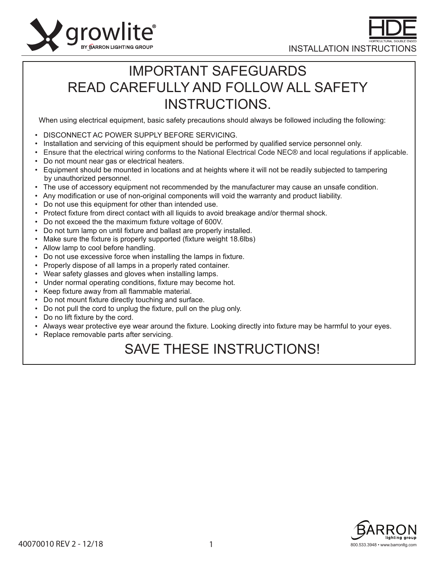



## IMPORTANT SAFEGUARDS READ CAREFULLY AND FOLLOW ALL SAFETY INSTRUCTIONS.

When using electrical equipment, basic safety precautions should always be followed including the following:

- DISCONNECT AC POWER SUPPLY BEFORE SERVICING.
- Installation and servicing of this equipment should be performed by qualified service personnel only.
- Ensure that the electrical wiring conforms to the National Electrical Code NEC® and local regulations if applicable.
- Do not mount near gas or electrical heaters.
- Equipment should be mounted in locations and at heights where it will not be readily subjected to tampering by unauthorized personnel.
- The use of accessory equipment not recommended by the manufacturer may cause an unsafe condition.
- Any modification or use of non-original components will void the warranty and product liability.
- Do not use this equipment for other than intended use.
- Protect fixture from direct contact with all liquids to avoid breakage and/or thermal shock.
- Do not exceed the the maximum fixture voltage of 600V.
- Do not turn lamp on until fixture and ballast are properly installed.
- Make sure the fixture is properly supported (fixture weight 18.6lbs)
- Allow lamp to cool before handling.
- Do not use excessive force when installing the lamps in fixture.
- Properly dispose of all lamps in a properly rated container.
- Wear safety glasses and gloves when installing lamps.
- Under normal operating conditions, fixture may become hot.
- Keep fixture away from all flammable material.
- Do not mount fixture directly touching and surface.
- Do not pull the cord to unplug the fixture, pull on the plug only.
- Do no lift fixture by the cord.
- Always wear protective eye wear around the fixture. Looking directly into fixture may be harmful to your eyes.
- Replace removable parts after servicing.

# SAVE THESE INSTRUCTIONS!